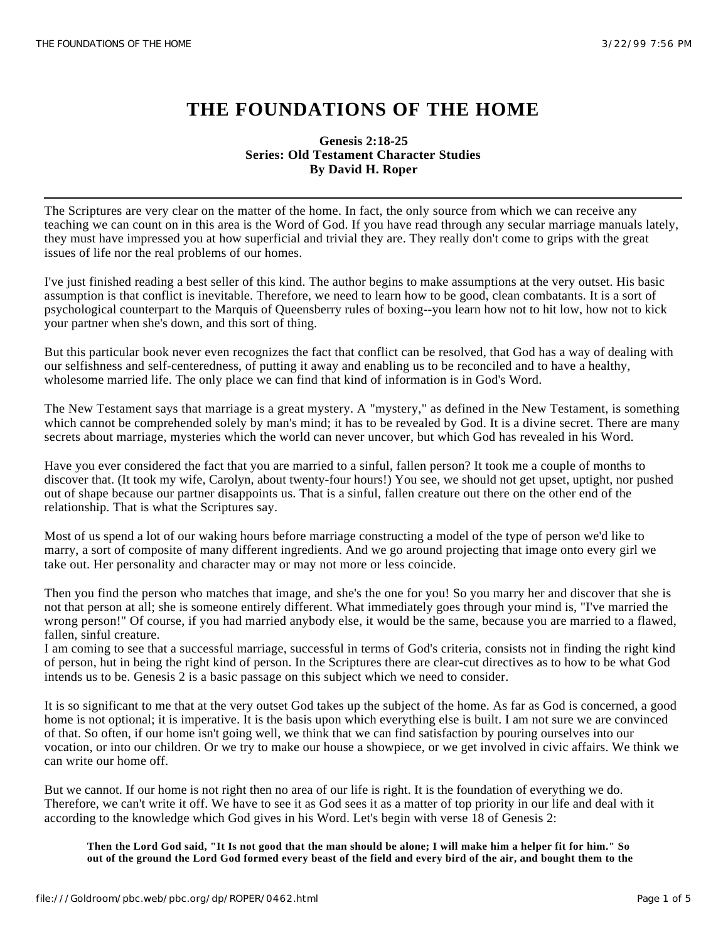# **THE FOUNDATIONS OF THE HOME**

## **Genesis 2:18-25 Series: Old Testament Character Studies By David H. Roper**

The Scriptures are very clear on the matter of the home. In fact, the only source from which we can receive any teaching we can count on in this area is the Word of God. If you have read through any secular marriage manuals lately, they must have impressed you at how superficial and trivial they are. They really don't come to grips with the great issues of life nor the real problems of our homes.

I've just finished reading a best seller of this kind. The author begins to make assumptions at the very outset. His basic assumption is that conflict is inevitable. Therefore, we need to learn how to be good, clean combatants. It is a sort of psychological counterpart to the Marquis of Queensberry rules of boxing--you learn how not to hit low, how not to kick your partner when she's down, and this sort of thing.

But this particular book never even recognizes the fact that conflict can be resolved, that God has a way of dealing with our selfishness and self-centeredness, of putting it away and enabling us to be reconciled and to have a healthy, wholesome married life. The only place we can find that kind of information is in God's Word.

The New Testament says that marriage is a great mystery. A "mystery," as defined in the New Testament, is something which cannot be comprehended solely by man's mind; it has to be revealed by God. It is a divine secret. There are many secrets about marriage, mysteries which the world can never uncover, but which God has revealed in his Word.

Have you ever considered the fact that you are married to a sinful, fallen person? It took me a couple of months to discover that. (It took my wife, Carolyn, about twenty-four hours!) You see, we should not get upset, uptight, nor pushed out of shape because our partner disappoints us. That is a sinful, fallen creature out there on the other end of the relationship. That is what the Scriptures say.

Most of us spend a lot of our waking hours before marriage constructing a model of the type of person we'd like to marry, a sort of composite of many different ingredients. And we go around projecting that image onto every girl we take out. Her personality and character may or may not more or less coincide.

Then you find the person who matches that image, and she's the one for you! So you marry her and discover that she is not that person at all; she is someone entirely different. What immediately goes through your mind is, "I've married the wrong person!" Of course, if you had married anybody else, it would be the same, because you are married to a flawed, fallen, sinful creature.

I am coming to see that a successful marriage, successful in terms of God's criteria, consists not in finding the right kind of person, hut in being the right kind of person. In the Scriptures there are clear-cut directives as to how to be what God intends us to be. Genesis 2 is a basic passage on this subject which we need to consider.

It is so significant to me that at the very outset God takes up the subject of the home. As far as God is concerned, a good home is not optional; it is imperative. It is the basis upon which everything else is built. I am not sure we are convinced of that. So often, if our home isn't going well, we think that we can find satisfaction by pouring ourselves into our vocation, or into our children. Or we try to make our house a showpiece, or we get involved in civic affairs. We think we can write our home off.

But we cannot. If our home is not right then no area of our life is right. It is the foundation of everything we do. Therefore, we can't write it off. We have to see it as God sees it as a matter of top priority in our life and deal with it according to the knowledge which God gives in his Word. Let's begin with verse 18 of Genesis 2:

**Then the Lord God said, "It Is not good that the man should be alone; I will make him a helper fit for him." So out of the ground the Lord God formed every beast of the field and every bird of the air, and bought them to the**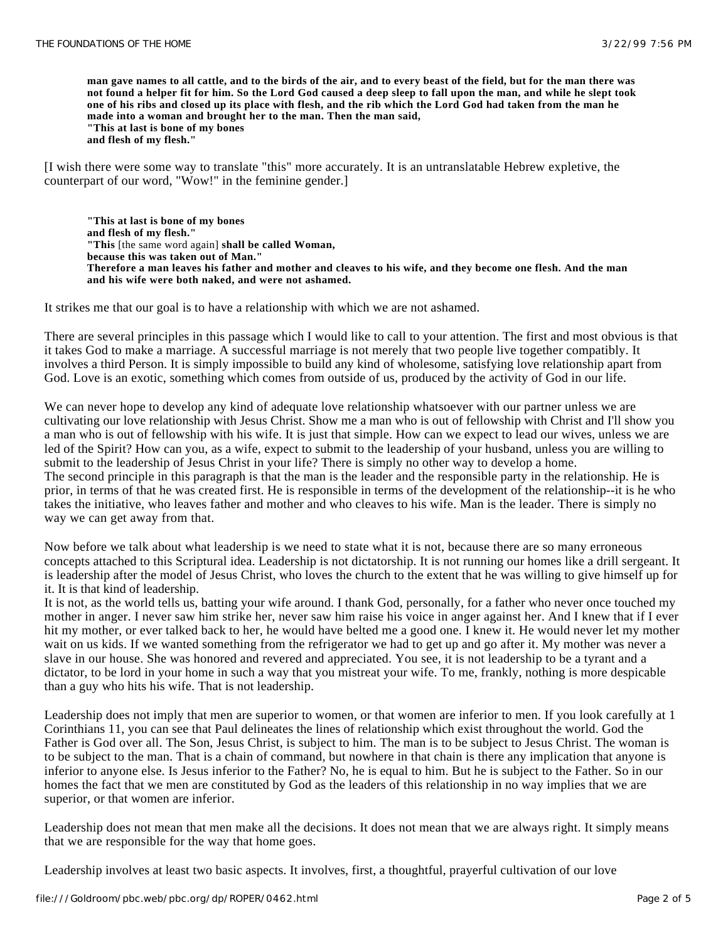**man gave names to all cattle, and to the birds of the air, and to every beast of the field, but for the man there was not found a helper fit for him. So the Lord God caused a deep sleep to fall upon the man, and while he slept took one of his ribs and closed up its place with flesh, and the rib which the Lord God had taken from the man he made into a woman and brought her to the man. Then the man said, "This at last is bone of my bones and flesh of my flesh."**

[I wish there were some way to translate "this" more accurately. It is an untranslatable Hebrew expletive, the counterpart of our word, "Wow!" in the feminine gender.]

**"This at last is bone of my bones and flesh of my flesh." "This** [the same word again] **shall be called Woman, because this was taken out of Man." Therefore a man leaves his father and mother and cleaves to his wife, and they become one flesh. And the man and his wife were both naked, and were not ashamed.**

It strikes me that our goal is to have a relationship with which we are not ashamed.

There are several principles in this passage which I would like to call to your attention. The first and most obvious is that it takes God to make a marriage. A successful marriage is not merely that two people live together compatibly. It involves a third Person. It is simply impossible to build any kind of wholesome, satisfying love relationship apart from God. Love is an exotic, something which comes from outside of us, produced by the activity of God in our life.

We can never hope to develop any kind of adequate love relationship whatsoever with our partner unless we are cultivating our love relationship with Jesus Christ. Show me a man who is out of fellowship with Christ and I'll show you a man who is out of fellowship with his wife. It is just that simple. How can we expect to lead our wives, unless we are led of the Spirit? How can you, as a wife, expect to submit to the leadership of your husband, unless you are willing to submit to the leadership of Jesus Christ in your life? There is simply no other way to develop a home. The second principle in this paragraph is that the man is the leader and the responsible party in the relationship. He is prior, in terms of that he was created first. He is responsible in terms of the development of the relationship--it is he who takes the initiative, who leaves father and mother and who cleaves to his wife. Man is the leader. There is simply no way we can get away from that.

Now before we talk about what leadership is we need to state what it is not, because there are so many erroneous concepts attached to this Scriptural idea. Leadership is not dictatorship. It is not running our homes like a drill sergeant. It is leadership after the model of Jesus Christ, who loves the church to the extent that he was willing to give himself up for it. It is that kind of leadership.

It is not, as the world tells us, batting your wife around. I thank God, personally, for a father who never once touched my mother in anger. I never saw him strike her, never saw him raise his voice in anger against her. And I knew that if I ever hit my mother, or ever talked back to her, he would have belted me a good one. I knew it. He would never let my mother wait on us kids. If we wanted something from the refrigerator we had to get up and go after it. My mother was never a slave in our house. She was honored and revered and appreciated. You see, it is not leadership to be a tyrant and a dictator, to be lord in your home in such a way that you mistreat your wife. To me, frankly, nothing is more despicable than a guy who hits his wife. That is not leadership.

Leadership does not imply that men are superior to women, or that women are inferior to men. If you look carefully at 1 Corinthians 11, you can see that Paul delineates the lines of relationship which exist throughout the world. God the Father is God over all. The Son, Jesus Christ, is subject to him. The man is to be subject to Jesus Christ. The woman is to be subject to the man. That is a chain of command, but nowhere in that chain is there any implication that anyone is inferior to anyone else. Is Jesus inferior to the Father? No, he is equal to him. But he is subject to the Father. So in our homes the fact that we men are constituted by God as the leaders of this relationship in no way implies that we are superior, or that women are inferior.

Leadership does not mean that men make all the decisions. It does not mean that we are always right. It simply means that we are responsible for the way that home goes.

Leadership involves at least two basic aspects. It involves, first, a thoughtful, prayerful cultivation of our love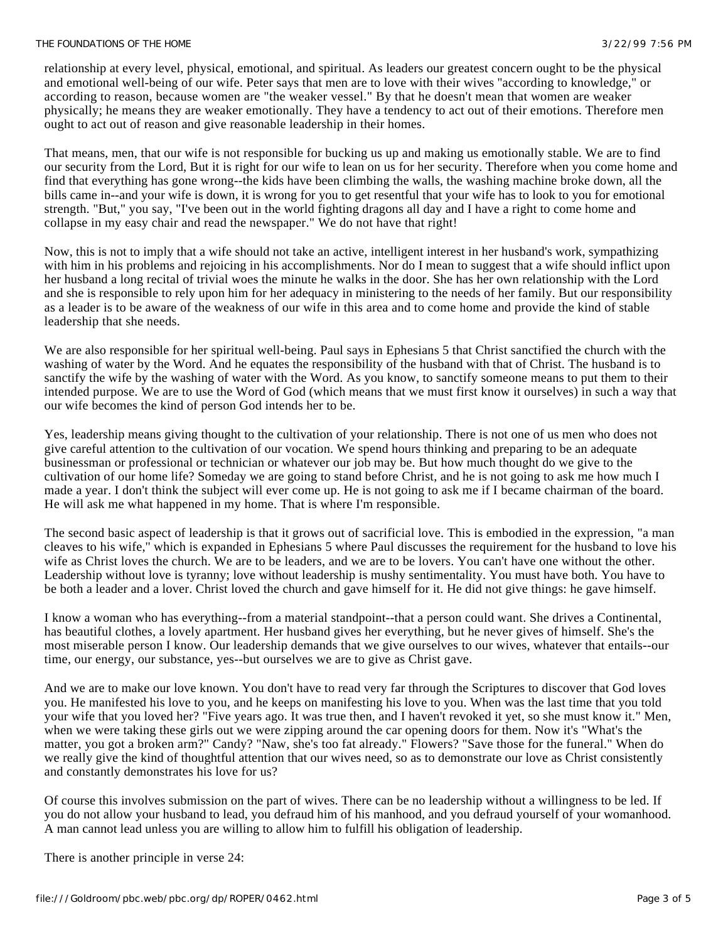relationship at every level, physical, emotional, and spiritual. As leaders our greatest concern ought to be the physical and emotional well-being of our wife. Peter says that men are to love with their wives ''according to knowledge," or according to reason, because women are "the weaker vessel." By that he doesn't mean that women are weaker physically; he means they are weaker emotionally. They have a tendency to act out of their emotions. Therefore men ought to act out of reason and give reasonable leadership in their homes.

That means, men, that our wife is not responsible for bucking us up and making us emotionally stable. We are to find our security from the Lord, But it is right for our wife to lean on us for her security. Therefore when you come home and find that everything has gone wrong--the kids have been climbing the walls, the washing machine broke down, all the bills came in--and your wife is down, it is wrong for you to get resentful that your wife has to look to you for emotional strength. "But," you say, "I've been out in the world fighting dragons all day and I have a right to come home and collapse in my easy chair and read the newspaper." We do not have that right!

Now, this is not to imply that a wife should not take an active, intelligent interest in her husband's work, sympathizing with him in his problems and rejoicing in his accomplishments. Nor do I mean to suggest that a wife should inflict upon her husband a long recital of trivial woes the minute he walks in the door. She has her own relationship with the Lord and she is responsible to rely upon him for her adequacy in ministering to the needs of her family. But our responsibility as a leader is to be aware of the weakness of our wife in this area and to come home and provide the kind of stable leadership that she needs.

We are also responsible for her spiritual well-being. Paul says in Ephesians 5 that Christ sanctified the church with the washing of water by the Word. And he equates the responsibility of the husband with that of Christ. The husband is to sanctify the wife by the washing of water with the Word. As you know, to sanctify someone means to put them to their intended purpose. We are to use the Word of God (which means that we must first know it ourselves) in such a way that our wife becomes the kind of person God intends her to be.

Yes, leadership means giving thought to the cultivation of your relationship. There is not one of us men who does not give careful attention to the cultivation of our vocation. We spend hours thinking and preparing to be an adequate businessman or professional or technician or whatever our job may be. But how much thought do we give to the cultivation of our home life? Someday we are going to stand before Christ, and he is not going to ask me how much I made a year. I don't think the subject will ever come up. He is not going to ask me if I became chairman of the board. He will ask me what happened in my home. That is where I'm responsible.

The second basic aspect of leadership is that it grows out of sacrificial love. This is embodied in the expression, "a man cleaves to his wife,'' which is expanded in Ephesians 5 where Paul discusses the requirement for the husband to love his wife as Christ loves the church. We are to be leaders, and we are to be lovers. You can't have one without the other. Leadership without love is tyranny; love without leadership is mushy sentimentality. You must have both. You have to be both a leader and a lover. Christ loved the church and gave himself for it. He did not give things: he gave himself.

I know a woman who has everything--from a material standpoint--that a person could want. She drives a Continental, has beautiful clothes, a lovely apartment. Her husband gives her everything, but he never gives of himself. She's the most miserable person I know. Our leadership demands that we give ourselves to our wives, whatever that entails--our time, our energy, our substance, yes--but ourselves we are to give as Christ gave.

And we are to make our love known. You don't have to read very far through the Scriptures to discover that God loves you. He manifested his love to you, and he keeps on manifesting his love to you. When was the last time that you told your wife that you loved her? "Five years ago. It was true then, and I haven't revoked it yet, so she must know it." Men, when we were taking these girls out we were zipping around the car opening doors for them. Now it's "What's the matter, you got a broken arm?" Candy? "Naw, she's too fat already." Flowers? "Save those for the funeral." When do we really give the kind of thoughtful attention that our wives need, so as to demonstrate our love as Christ consistently and constantly demonstrates his love for us?

Of course this involves submission on the part of wives. There can be no leadership without a willingness to be led. If you do not allow your husband to lead, you defraud him of his manhood, and you defraud yourself of your womanhood. A man cannot lead unless you are willing to allow him to fulfill his obligation of leadership.

There is another principle in verse 24: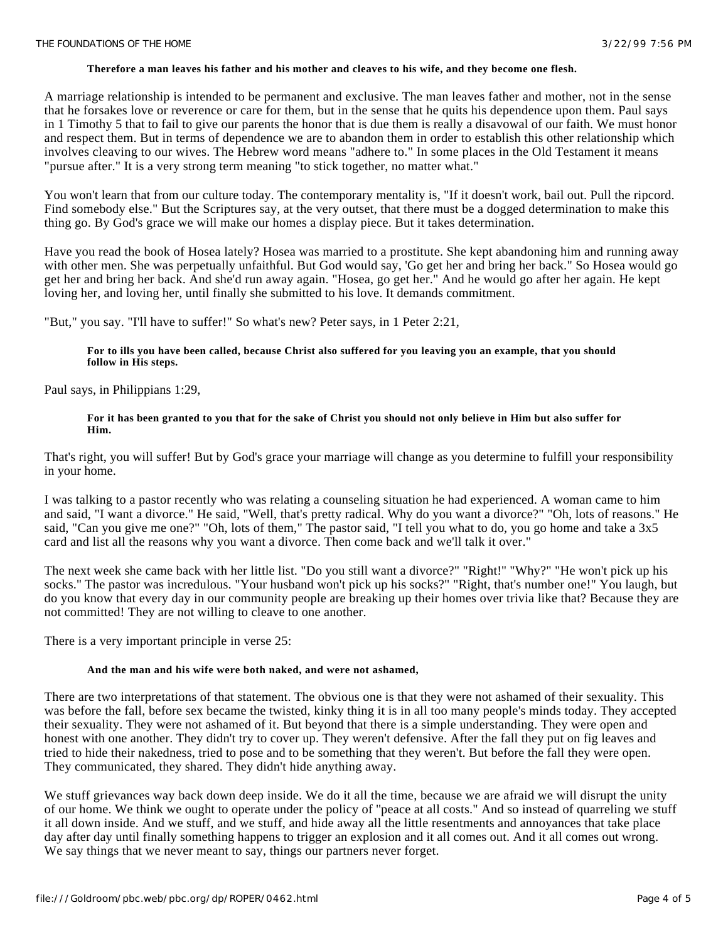#### **Therefore a man leaves his father and his mother and cleaves to his wife, and they become one flesh.**

A marriage relationship is intended to be permanent and exclusive. The man leaves father and mother, not in the sense that he forsakes love or reverence or care for them, but in the sense that he quits his dependence upon them. Paul says in 1 Timothy 5 that to fail to give our parents the honor that is due them is really a disavowal of our faith. We must honor and respect them. But in terms of dependence we are to abandon them in order to establish this other relationship which involves cleaving to our wives. The Hebrew word means "adhere to." In some places in the Old Testament it means "pursue after." It is a very strong term meaning "to stick together, no matter what."

You won't learn that from our culture today. The contemporary mentality is, "If it doesn't work, bail out. Pull the ripcord. Find somebody else." But the Scriptures say, at the very outset, that there must be a dogged determination to make this thing go. By God's grace we will make our homes a display piece. But it takes determination.

Have you read the book of Hosea lately? Hosea was married to a prostitute. She kept abandoning him and running away with other men. She was perpetually unfaithful. But God would say, 'Go get her and bring her back." So Hosea would go get her and bring her back. And she'd run away again. "Hosea, go get her." And he would go after her again. He kept loving her, and loving her, until finally she submitted to his love. It demands commitment.

"But," you say. "I'll have to suffer!" So what's new? Peter says, in 1 Peter 2:21,

#### **For to ills you have been called, because Christ also suffered for you leaving you an example, that you should follow in His steps.**

Paul says, in Philippians 1:29,

#### **For it has been granted to you that for the sake of Christ you should not only believe in Him but also suffer for Him.**

That's right, you will suffer! But by God's grace your marriage will change as you determine to fulfill your responsibility in your home.

I was talking to a pastor recently who was relating a counseling situation he had experienced. A woman came to him and said, "I want a divorce." He said, ''Well, that's pretty radical. Why do you want a divorce?" "Oh, lots of reasons." He said, "Can you give me one?" "Oh, lots of them," The pastor said, "I tell you what to do, you go home and take a 3x5 card and list all the reasons why you want a divorce. Then come back and we'll talk it over."

The next week she came back with her little list. "Do you still want a divorce?" "Right!'' "Why?" "He won't pick up his socks.'' The pastor was incredulous. "Your husband won't pick up his socks?" "Right, that's number one!" You laugh, but do you know that every day in our community people are breaking up their homes over trivia like that? Because they are not committed! They are not willing to cleave to one another.

There is a very important principle in verse 25:

### **And the man and his wife were both naked, and were not ashamed,**

There are two interpretations of that statement. The obvious one is that they were not ashamed of their sexuality. This was before the fall, before sex became the twisted, kinky thing it is in all too many people's minds today. They accepted their sexuality. They were not ashamed of it. But beyond that there is a simple understanding. They were open and honest with one another. They didn't try to cover up. They weren't defensive. After the fall they put on fig leaves and tried to hide their nakedness, tried to pose and to be something that they weren't. But before the fall they were open. They communicated, they shared. They didn't hide anything away.

We stuff grievances way back down deep inside. We do it all the time, because we are afraid we will disrupt the unity of our home. We think we ought to operate under the policy of ''peace at all costs." And so instead of quarreling we stuff it all down inside. And we stuff, and we stuff, and hide away all the little resentments and annoyances that take place day after day until finally something happens to trigger an explosion and it all comes out. And it all comes out wrong. We say things that we never meant to say, things our partners never forget.